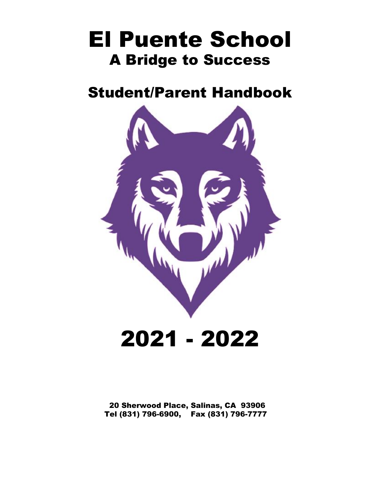# El Puente School A Bridge to Success

# Student/Parent Handbook



20 Sherwood Place, Salinas, CA 93906 Tel (831) 796-6900, Fax (831) 796-7777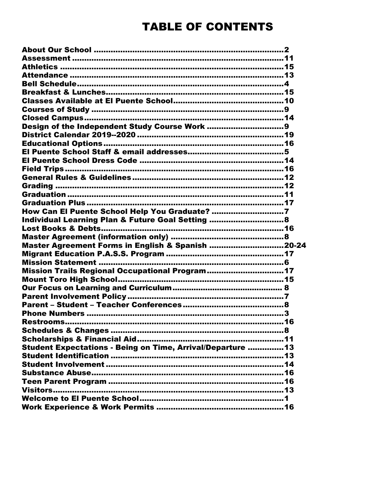# **TABLE OF CONTENTS**

| Design of the Independent Study Course Work 9               |
|-------------------------------------------------------------|
|                                                             |
|                                                             |
|                                                             |
|                                                             |
|                                                             |
|                                                             |
|                                                             |
|                                                             |
|                                                             |
| How Can El Puente School Help You Graduate? 7               |
| Individual Learning Plan & Future Goal Setting  8           |
|                                                             |
|                                                             |
| Master Agreement Forms in English & Spanish 20-24           |
|                                                             |
|                                                             |
| Mission Trails Regional Occupational Program17              |
|                                                             |
|                                                             |
|                                                             |
|                                                             |
|                                                             |
|                                                             |
|                                                             |
|                                                             |
| Student Expectations - Being on Time, Arrival/Departure  13 |
|                                                             |
|                                                             |
|                                                             |
|                                                             |
|                                                             |
|                                                             |
|                                                             |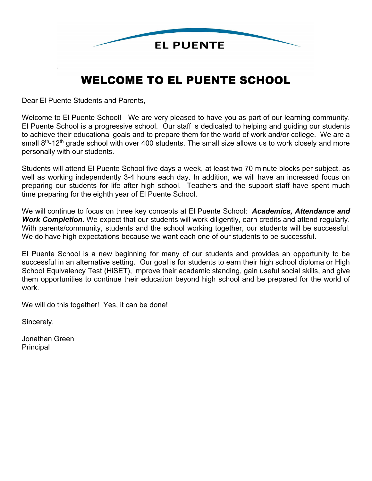

# WELCOME TO EL PUENTE SCHOOL

Dear El Puente Students and Parents,

Welcome to El Puente School! We are very pleased to have you as part of our learning community. El Puente School is a progressive school. Our staff is dedicated to helping and guiding our students to achieve their educational goals and to prepare them for the world of work and/or college. We are a small  $8<sup>th</sup>$ -12<sup>th</sup> grade school with over 400 students. The small size allows us to work closely and more personally with our students.

Students will attend El Puente School five days a week, at least two 70 minute blocks per subject, as well as working independently 3-4 hours each day. In addition, we will have an increased focus on preparing our students for life after high school. Teachers and the support staff have spent much time preparing for the eighth year of El Puente School.

We will continue to focus on three key concepts at El Puente School: *Academics, Attendance and Work Completion.* We expect that our students will work diligently, earn credits and attend regularly. With parents/community, students and the school working together, our students will be successful. We do have high expectations because we want each one of our students to be successful.

El Puente School is a new beginning for many of our students and provides an opportunity to be successful in an alternative setting. Our goal is for students to earn their high school diploma or High School Equivalency Test (HiSET), improve their academic standing, gain useful social skills, and give them opportunities to continue their education beyond high school and be prepared for the world of work.

We will do this together! Yes, it can be done!

Sincerely,

Jonathan Green Principal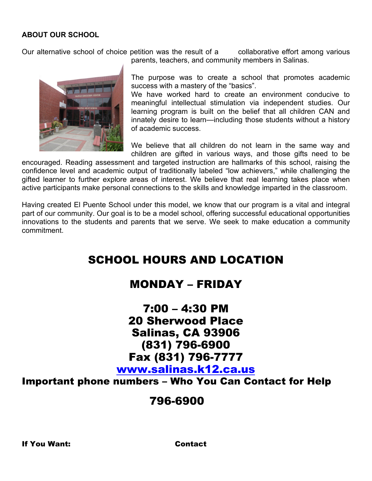# **ABOUT OUR SCHOOL**

Our alternative school of choice petition was the result of a collaborative effort among various



parents, teachers, and community members in Salinas.

The purpose was to create a school that promotes academic success with a mastery of the "basics".

We have worked hard to create an environment conducive to meaningful intellectual stimulation via independent studies. Our learning program is built on the belief that all children CAN and innately desire to learn—including those students without a history of academic success.

We believe that all children do not learn in the same way and children are gifted in various ways, and those gifts need to be

encouraged. Reading assessment and targeted instruction are hallmarks of this school, raising the confidence level and academic output of traditionally labeled "low achievers," while challenging the gifted learner to further explore areas of interest. We believe that real learning takes place when active participants make personal connections to the skills and knowledge imparted in the classroom.

Having created El Puente School under this model, we know that our program is a vital and integral part of our community. Our goal is to be a model school, offering successful educational opportunities innovations to the students and parents that we serve. We seek to make education a community commitment.

# SCHOOL HOURS AND LOCATION

# MONDAY – FRIDAY

# 7:00 – 4:30 PM 20 Sherwood Place Salinas, CA 93906 (831) 796-6900 Fax (831) 796-7777 [www.salinas.k12.ca.us](http://www.salinas.k12.ca.us/)

Important phone numbers – Who You Can Contact for Help

# 796-6900

If You Want: Contact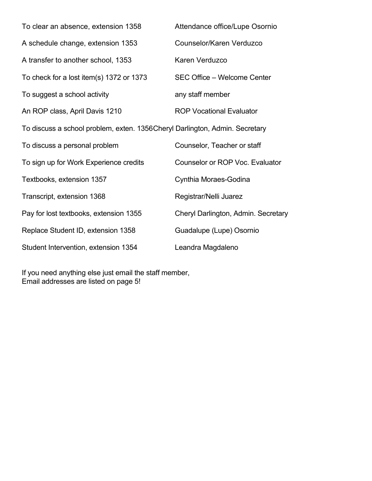| To clear an absence, extension 1358                                          | Attendance office/Lupe Osornio      |
|------------------------------------------------------------------------------|-------------------------------------|
| A schedule change, extension 1353                                            | Counselor/Karen Verduzco            |
| A transfer to another school, 1353                                           | Karen Verduzco                      |
| To check for a lost item(s) 1372 or 1373                                     | SEC Office - Welcome Center         |
| To suggest a school activity                                                 | any staff member                    |
| An ROP class, April Davis 1210                                               | <b>ROP Vocational Evaluator</b>     |
| To discuss a school problem, exten. 1356 Cheryl Darlington, Admin. Secretary |                                     |
| To discuss a personal problem                                                | Counselor, Teacher or staff         |
| To sign up for Work Experience credits                                       | Counselor or ROP Voc. Evaluator     |
| Textbooks, extension 1357                                                    | Cynthia Moraes-Godina               |
| Transcript, extension 1368                                                   | Registrar/Nelli Juarez              |
| Pay for lost textbooks, extension 1355                                       | Cheryl Darlington, Admin. Secretary |
| Replace Student ID, extension 1358                                           | Guadalupe (Lupe) Osornio            |
| Student Intervention, extension 1354                                         | Leandra Magdaleno                   |

If you need anything else just email the staff member, Email addresses are listed on page 5!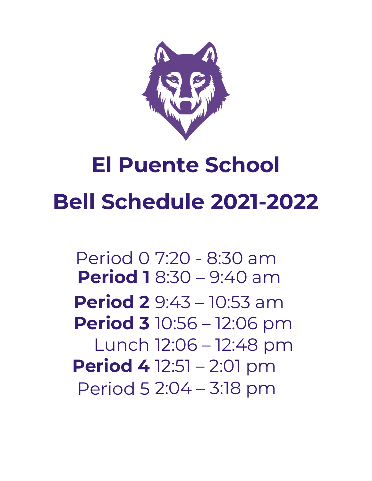

# **El Puente School Bell Schedule 2021-2022**

Period 0 7:20 - 8:30 am **Period 1** 8:30 – 9:40 am **Period 2** 9:43 – 10:53 am **Period 3** 10:56 – 12:06 pm Lunch 12:06 – 12:48 pm **Period 4** 12:51 – 2:01 pm Period 5 2:04 – 3:18 pm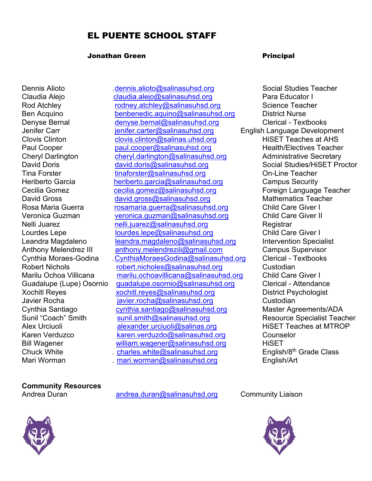# EL PUENTE SCHOOL STAFF

#### Jonathan Green **Principal**

Dennis Alioto [.dennis.alioto@salinasuhsd.org](mailto:dennis.alioto@salinasuhsd.org) Social Studies Teacher

Claudia Alejo [claudia.alejo@salinasuhsd.org](mailto:claudia.alejo@salinasuhsd.org) Para Educator I Rod Atchley **Rod Atchley** [rodney.atchley@salinasuhsd.org](mailto:rodney.atchley@salinasuhsd.org) Science Teacher Ben Acquino [benbenedic.aquino@salinasuhsd.org](mailto:benbenedic.aquino@salinasuhsd.org) District Nurse Denyse Bernal [denyse.bernal@salinasuhsd.org](mailto:denyse.bernal@salinasuhsd.org) Clerical - Textbooks Jenifer Carr **in the Stuart English Language Development** Jenifer.carter@salinasuhsd.org English Language Development Clovis Clinton [clovis.clinton@salinas.uhsd.org](mailto:clovis.clinton@salinas.uhsd.org) HiSET Teaches at AHS Paul Cooper [paul.cooper@salinasuhsd.org](mailto:paul.cooper@salinasuhsd.org) Cheryl Darlington <u>[cheryl.darlington@salinasuhsd.org](mailto:cheryl.darlington@salinasuhsd.org)</u> Administrative Secretary<br>David Doris david.doris@salinasuhsd.org Social Studies/HiSET Proctor David Doris [david.doris@salinasuhsd.org](mailto:david.doris@salinasuhsd.org)<br>Tina Forster tinaforster@salinasuhsd.org [tinaforster@salinasuhsd.org](mailto:tinaforster@salinasuhsd.org) Con-Line Teacher Heriberto Garcia [heriberto.garcia@salinasuhsd.org](mailto:heriberto.garcia@salinasuhsd.org) Campus Security Cecilia Gomez [cecilia.gomez@salinasuhsd.org](mailto:cecilia.gomez@salinasuhsd.org) Foreign Language Teacher David Gross [david.gross@salinasuhsd.org](mailto:david.gross@salinasuhsd.org) Rosa Maria Guerra *[rosamaria.guerra@salinasuhsd.org](mailto:rosamaria.guerra@salinasuhsd.org)* Child Care Giver I Veronica Guzman [veronica.guzman@salinasuhsd.org](mailto:veronica.guzman@salinasuhsd.org) Child Care Giver II<br>Nelli Juarez nelli iuarez@salinasuhsd.org Registrar nelli iuarez@salinasuhsd.org Registrar Lourdes Lepe [lourdes.lepe@salinasuhsd.org](mailto:lourdes.lepe@salinasuhsd.org) Child Care Giver I Leandra Magdaleno [leandra.magdaleno@salinasuhsd.org](mailto:leandra.magdaleno@salinasuhsd.org) litervention Specialist<br>Anthony Melendrez III anthony.melendreziii@gmail.com Campus Supervisor Anthony Melendrez III [anthony.melendreziii@gmail.com](mailto:anthony.melendreziii@gmail.com) Cynthia Moraes-Godina ... CynthiaMoraesGodina@salinasuhsd.org Clerical - Textbooks Robert Nichols [robert.nicholes@salinasuhsd.org](mailto:robert.nicholes@salinasuhsd.org) Custodian Marilu Ochoa Villicana [marilu.ochoavillicana@salinasuhsd.org](mailto:marilu.ochoavillicana@salinasuhsd.org) Child Care Giver I Guadalupe (Lupe) Osornio [guadalupe.osornio@salinasuhsd.org](mailto:guadalupe.osornio@salinasuhsd.org) Clerical - Attendance Xochitl Reyes <u>[xochitl.reyes@salinasuhsd.org](mailto:xochitl.reyes@salinasuhsd.org)</u> District Psychologist<br>Javier Rocha javier.rocha@salinasuhsd.org Custodia [javier.rocha@salinasuhsd.org](mailto:javier.rocha@salinasuhsd.org) Custodian Cynthia Santiago <u>[cynthia.santiago@salinasuhsd.org](mailto:cynthia.santiago@salinasuhsd.org)</u> Master Agreements/ADA<br>Sunil "Coach" Smith sunil.smith@salinasuhsd.org Resource Specialist Teac sunil smith @salinasuhsd.org **Communist Concernent Concernent** Resource Specialist Teacher Alex Urciuoli [alexander.urciuoli@salinas.org](mailto:alexander.urciuoli@salinas.org) HiSET Teaches at MTROP Karen Verduzco [karen.verduzdo@salinasuhsd.org](mailto:karen.verduzdo@salinasuhsd.org) Counselor Bill Wagener **William.wagener@salinasuhsd.org** HiSET Chuck White . charles.white  $\omega$  salinasuhsd.org English/8<sup>th</sup> Grade Class Mari Worman . [mari.worman@salinasuhsd.org](mailto:mari.worman@salinasuhsd.org) English/Art

**Community Resources**

Andrea Duran [andrea.duran@salinasuhsd.org](mailto:andrea.duran@salinasuhsd.org) Community Liaison



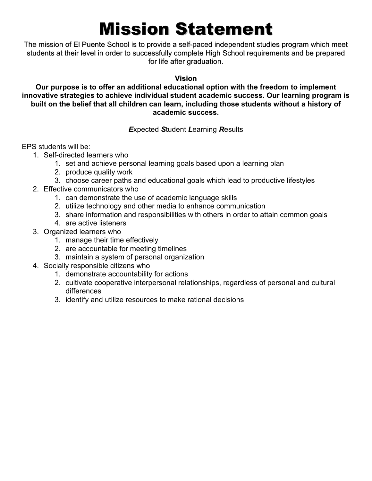# Mission Statement

The mission of El Puente School is to provide a self-paced independent studies program which meet students at their level in order to successfully complete High School requirements and be prepared for life after graduation.

## **Vision**

## **Our purpose is to offer an additional educational option with the freedom to implement innovative strategies to achieve individual student academic success. Our learning program is built on the belief that all children can learn, including those students without a history of academic success.**

# *E*xpected *S*tudent *L*earning *R*esults

EPS students will be:

- 1. Self-directed learners who
	- 1. set and achieve personal learning goals based upon a learning plan
	- 2. produce quality work
	- 3. choose career paths and educational goals which lead to productive lifestyles
- 2. Effective communicators who
	- 1. can demonstrate the use of academic language skills
	- 2. utilize technology and other media to enhance communication
	- 3. share information and responsibilities with others in order to attain common goals
	- 4. are active listeners
- 3. Organized learners who
	- 1. manage their time effectively
	- 2. are accountable for meeting timelines
	- 3. maintain a system of personal organization
- 4. Socially responsible citizens who
	- 1. demonstrate accountability for actions
	- 2. cultivate cooperative interpersonal relationships, regardless of personal and cultural differences
	- 3. identify and utilize resources to make rational decisions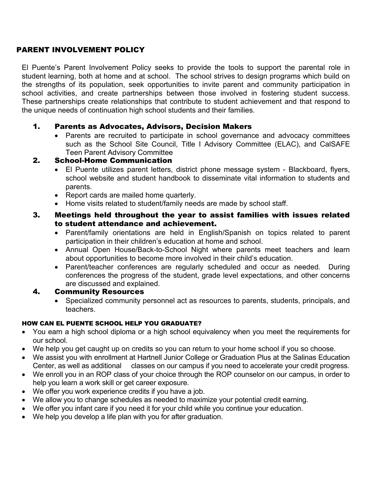# PARENT INVOLVEMENT POLICY

El Puente's Parent Involvement Policy seeks to provide the tools to support the parental role in student learning, both at home and at school. The school strives to design programs which build on the strengths of its population, seek opportunities to invite parent and community participation in school activities, and create partnerships between those involved in fostering student success. These partnerships create relationships that contribute to student achievement and that respond to the unique needs of continuation high school students and their families.

# 1. Parents as Advocates, Advisors, Decision Makers

• Parents are recruited to participate in school governance and advocacy committees such as the School Site Council, Title I Advisory Committee (ELAC), and CalSAFE Teen Parent Advisory Committee

# 2. School-Home Communication

- El Puente utilizes parent letters, district phone message system Blackboard, flyers, school website and student handbook to disseminate vital information to students and parents.
- Report cards are mailed home quarterly.
- Home visits related to student/family needs are made by school staff.

## 3. Meetings held throughout the year to assist families with issues related to student attendance and achievement.

- Parent/family orientations are held in English/Spanish on topics related to parent participation in their children's education at home and school.
- Annual Open House/Back-to-School Night where parents meet teachers and learn about opportunities to become more involved in their child's education.
- Parent/teacher conferences are regularly scheduled and occur as needed. During conferences the progress of the student, grade level expectations, and other concerns are discussed and explained.

# 4. Community Resources

• Specialized community personnel act as resources to parents, students, principals, and teachers.

# HOW CAN EL PUENTE SCHOOL HELP YOU GRADUATE?

- You earn a high school diploma or a high school equivalency when you meet the requirements for our school.
- We help you get caught up on credits so you can return to your home school if you so choose.
- We assist you with enrollment at Hartnell Junior College or Graduation Plus at the Salinas Education Center, as well as additional classes on our campus if you need to accelerate your credit progress.
- We enroll you in an ROP class of your choice through the ROP counselor on our campus, in order to help you learn a work skill or get career exposure.
- We offer you work experience credits if you have a job.
- We allow you to change schedules as needed to maximize your potential credit earning.
- We offer you infant care if you need it for your child while you continue your education.
- We help you develop a life plan with you for after graduation.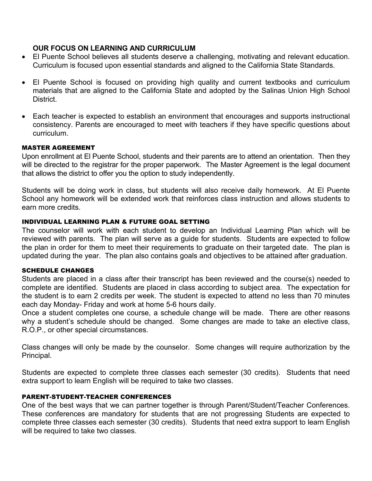#### **OUR FOCUS ON LEARNING AND CURRICULUM**

- El Puente School believes all students deserve a challenging, motivating and relevant education. Curriculum is focused upon essential standards and aligned to the California State Standards.
- El Puente School is focused on providing high quality and current textbooks and curriculum materials that are aligned to the California State and adopted by the Salinas Union High School **District.**
- Each teacher is expected to establish an environment that encourages and supports instructional consistency. Parents are encouraged to meet with teachers if they have specific questions about curriculum.

#### MASTER AGREEMENT

Upon enrollment at El Puente School, students and their parents are to attend an orientation. Then they will be directed to the registrar for the proper paperwork. The Master Agreement is the legal document that allows the district to offer you the option to study independently.

Students will be doing work in class, but students will also receive daily homework. At El Puente School any homework will be extended work that reinforces class instruction and allows students to earn more credits.

#### INDIVIDUAL LEARNING PLAN & FUTURE GOAL SETTING

The counselor will work with each student to develop an Individual Learning Plan which will be reviewed with parents. The plan will serve as a guide for students. Students are expected to follow the plan in order for them to meet their requirements to graduate on their targeted date. The plan is updated during the year. The plan also contains goals and objectives to be attained after graduation.

#### SCHEDULE CHANGES

Students are placed in a class after their transcript has been reviewed and the course(s) needed to complete are identified. Students are placed in class according to subject area. The expectation for the student is to earn 2 credits per week. The student is expected to attend no less than 70 minutes each day Monday- Friday and work at home 5-6 hours daily.

Once a student completes one course, a schedule change will be made. There are other reasons why a student's schedule should be changed. Some changes are made to take an elective class, R.O.P., or other special circumstances.

Class changes will only be made by the counselor. Some changes will require authorization by the Principal.

Students are expected to complete three classes each semester (30 credits). Students that need extra support to learn English will be required to take two classes.

#### PARENT-STUDENT-TEACHER CONFERENCES

One of the best ways that we can partner together is through Parent/Student/Teacher Conferences. These conferences are mandatory for students that are not progressing Students are expected to complete three classes each semester (30 credits). Students that need extra support to learn English will be required to take two classes.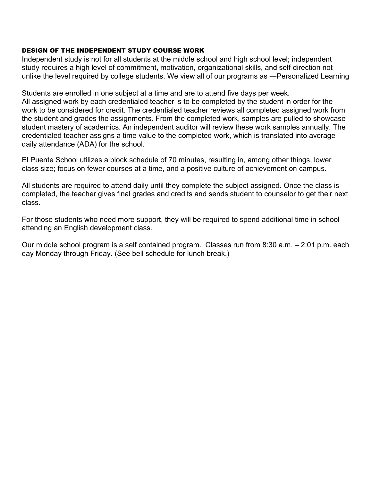#### DESIGN OF THE INDEPENDENT STUDY COURSE WORK

Independent study is not for all students at the middle school and high school level; independent study requires a high level of commitment, motivation, organizational skills, and self-direction not unlike the level required by college students. We view all of our programs as ―Personalized Learning

Students are enrolled in one subject at a time and are to attend five days per week.

All assigned work by each credentialed teacher is to be completed by the student in order for the work to be considered for credit. The credentialed teacher reviews all completed assigned work from the student and grades the assignments. From the completed work, samples are pulled to showcase student mastery of academics. An independent auditor will review these work samples annually. The credentialed teacher assigns a time value to the completed work, which is translated into average daily attendance (ADA) for the school.

El Puente School utilizes a block schedule of 70 minutes, resulting in, among other things, lower class size; focus on fewer courses at a time, and a positive culture of achievement on campus.

All students are required to attend daily until they complete the subject assigned. Once the class is completed, the teacher gives final grades and credits and sends student to counselor to get their next class.

For those students who need more support, they will be required to spend additional time in school attending an English development class.

Our middle school program is a self contained program. Classes run from 8:30 a.m. – 2:01 p.m. each day Monday through Friday. (See bell schedule for lunch break.)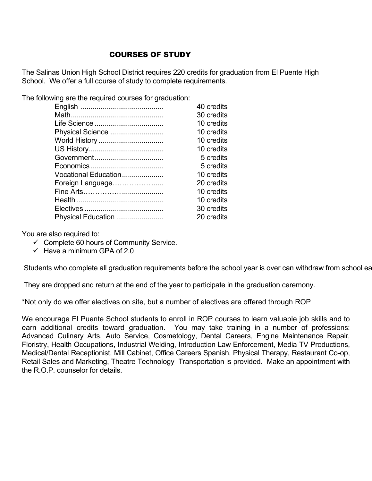# COURSES OF STUDY

The Salinas Union High School District requires 220 credits for graduation from El Puente High School. We offer a full course of study to complete requirements.

The following are the required courses for graduation:

|                      | 40 credits |
|----------------------|------------|
|                      | 30 credits |
|                      | 10 credits |
| Physical Science     | 10 credits |
| World History        | 10 credits |
|                      | 10 credits |
|                      | 5 credits  |
|                      | 5 credits  |
| Vocational Education | 10 credits |
| Foreign Language     | 20 credits |
|                      | 10 credits |
|                      | 10 credits |
|                      | 30 credits |
| Physical Education   | 20 credits |

You are also required to:

- $\checkmark$  Complete 60 hours of Community Service.
- $\checkmark$  Have a minimum GPA of 2.0

Students who complete all graduation requirements before the school year is over can withdraw from school ea

They are dropped and return at the end of the year to participate in the graduation ceremony.

\*Not only do we offer electives on site, but a number of electives are offered through ROP

We encourage El Puente School students to enroll in ROP courses to learn valuable job skills and to earn additional credits toward graduation. You may take training in a number of professions: Advanced Culinary Arts, Auto Service, Cosmetology, Dental Careers, Engine Maintenance Repair, Floristry, Health Occupations, Industrial Welding, Introduction Law Enforcement, Media TV Productions, Medical/Dental Receptionist, Mill Cabinet, Office Careers Spanish, Physical Therapy, Restaurant Co-op, Retail Sales and Marketing, Theatre Technology Transportation is provided. Make an appointment with the R.O.P. counselor for details.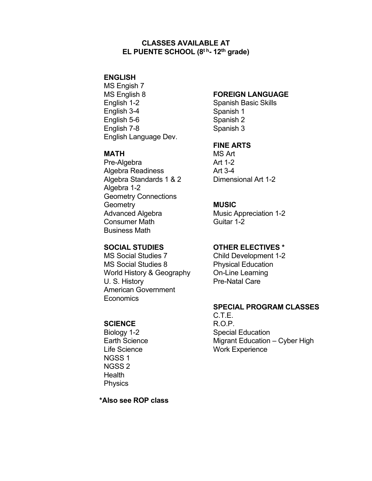#### **CLASSES AVAILABLE AT EL PUENTE SCHOOL (8t h- 12th grade)**

#### **ENGLISH**

MS Engish 7 MS English 8 English 1-2 English 3-4 English 5-6 English 7-8 English Language Dev.

#### **MATH**

Pre-Algebra Algebra Readiness Algebra Standards 1 & 2 Algebra 1-2 Geometry Connections **Geometry** Advanced Algebra Consumer Math Business Math

#### **SOCIAL STUDIES**

MS Social Studies 7 MS Social Studies 8 World History & Geography U. S. History American Government **Economics** 

#### **SCIENCE**

Biology 1-2 Earth Science Life Science NGSS 1 NGSS 2 **Health Physics** 

 **\*Also see ROP class** 

## **FOREIGN LANGUAGE**

Spanish Basic Skills Spanish 1 Spanish 2 Spanish 3

#### **FINE ARTS**

MS Art Art 1-2 Art 3-4 Dimensional Art 1-2

#### **MUSIC**

Music Appreciation 1-2 Guitar 1-2

#### **OTHER ELECTIVES \***

Child Development 1-2 Physical Education On-Line Learning Pre-Natal Care

#### **SPECIAL PROGRAM CLASSES**

C.T.E. R.O.P. Special Education Migrant Education – Cyber High Work Experience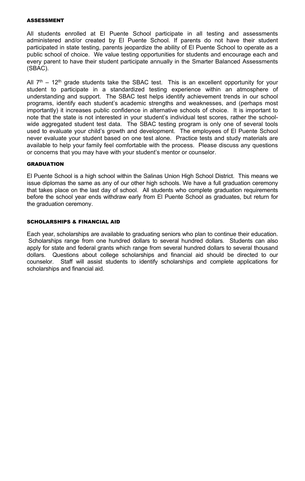#### ASSESSMENT

All students enrolled at El Puente School participate in all testing and assessments administered and/or created by El Puente School. If parents do not have their student participated in state testing, parents jeopardize the ability of El Puente School to operate as a public school of choice. We value testing opportunities for students and encourage each and every parent to have their student participate annually in the Smarter Balanced Assessments (SBAC).

All  $7<sup>th</sup>$  – 12<sup>th</sup> grade students take the SBAC test. This is an excellent opportunity for your student to participate in a standardized testing experience within an atmosphere of understanding and support. The SBAC test helps identify achievement trends in our school programs, identify each student's academic strengths and weaknesses, and (perhaps most importantly) it increases public confidence in alternative schools of choice. It is important to note that the state is not interested in your student's individual test scores, rather the schoolwide aggregated student test data. The SBAC testing program is only one of several tools used to evaluate your child's growth and development. The employees of El Puente School never evaluate your student based on one test alone. Practice tests and study materials are available to help your family feel comfortable with the process. Please discuss any questions or concerns that you may have with your student's mentor or counselor.

#### **GRADUATION**

El Puente School is a high school within the Salinas Union High School District. This means we issue diplomas the same as any of our other high schools. We have a full graduation ceremony that takes place on the last day of school. All students who complete graduation requirements before the school year ends withdraw early from El Puente School as graduates, but return for the graduation ceremony.

#### SCHOLARSHIPS & FINANCIAL AID

Each year, scholarships are available to graduating seniors who plan to continue their education. Scholarships range from one hundred dollars to several hundred dollars. Students can also apply for state and federal grants which range from several hundred dollars to several thousand dollars. Questions about college scholarships and financial aid should be directed to our counselor. Staff will assist students to identify scholarships and complete applications for scholarships and financial aid.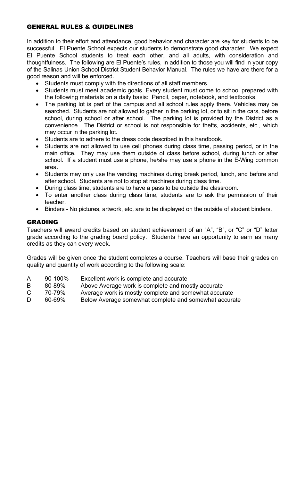# GENERAL RULES & GUIDELINES

In addition to their effort and attendance, good behavior and character are key for students to be successful. El Puente School expects our students to demonstrate good character. We expect El Puente School students to treat each other, and all adults, with consideration and thoughtfulness. The following are El Puente's rules, in addition to those you will find in your copy of the Salinas Union School District Student Behavior Manual. The rules we have are there for a good reason and will be enforced.

- Students must comply with the directions of all staff members.
- Students must meet academic goals. Every student must come to school prepared with the following materials on a daily basis: Pencil, paper, notebook, and textbooks.
- The parking lot is part of the campus and all school rules apply there. Vehicles may be searched. Students are not allowed to gather in the parking lot, or to sit in the cars, before school, during school or after school. The parking lot is provided by the District as a convenience. The District or school is not responsible for thefts, accidents, etc., which may occur in the parking lot.
- Students are to adhere to the dress code described in this handbook.
- Students are not allowed to use cell phones during class time, passing period, or in the main office. They may use them outside of class before school, during lunch or after school. If a student must use a phone, he/she may use a phone in the E-Wing common area.
- Students may only use the vending machines during break period, lunch, and before and after school. Students are not to stop at machines during class time.
- During class time, students are to have a pass to be outside the classroom.
- To enter another class during class time, students are to ask the permission of their teacher.
- Binders No pictures, artwork, etc, are to be displayed on the outside of student binders.

# GRADING

Teachers will award credits based on student achievement of an "A", "B", or "C" or "D" letter grade according to the grading board policy. Students have an opportunity to earn as many credits as they can every week.

Grades will be given once the student completes a course. Teachers will base their grades on quality and quantity of work according to the following scale:

- A 90-100% Excellent work is complete and accurate
- B 80-89% Above Average work is complete and mostly accurate<br>C 70-79% Average work is mostly complete and somewhat accur
- 70-79% Average work is mostly complete and somewhat accurate
- D 60-69% Below Average somewhat complete and somewhat accurate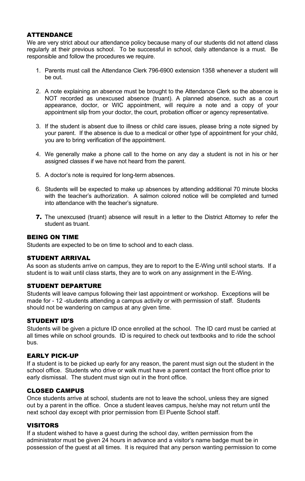# ATTENDANCE

We are very strict about our attendance policy because many of our students did not attend class regularly at their previous school. To be successful in school, daily attendance is a must. Be responsible and follow the procedures we require.

- 1. Parents must call the Attendance Clerk 796-6900 extension 1358 whenever a student will be out.
- 2. A note explaining an absence must be brought to the Attendance Clerk so the absence is NOT recorded as unexcused absence (truant). A planned absence, such as a court appearance, doctor, or WIC appointment, will require a note and a copy of your appointment slip from your doctor, the court, probation officer or agency representative.
- 3. If the student is absent due to illness or child care issues, please bring a note signed by your parent. If the absence is due to a medical or other type of appointment for your child, you are to bring verification of the appointment.
- 4. We generally make a phone call to the home on any day a student is not in his or her assigned classes if we have not heard from the parent.
- 5. A doctor's note is required for long-term absences.
- 6. Students will be expected to make up absences by attending additional 70 minute blocks with the teacher's authorization. A salmon colored notice will be completed and turned into attendance with the teacher's signature.
- 7. The unexcused (truant) absence will result in a letter to the District Attorney to refer the student as truant.

# BEING ON TIME

Students are expected to be on time to school and to each class.

#### STUDENT ARRIVAL

As soon as students arrive on campus, they are to report to the E-Wing until school starts. If a student is to wait until class starts, they are to work on any assignment in the E-Wing.

#### STUDENT DEPARTURE

Students will leave campus following their last appointment or workshop. Exceptions will be made for - 12 -students attending a campus activity or with permission of staff. Students should not be wandering on campus at any given time.

#### STUDENT ID'S

Students will be given a picture ID once enrolled at the school. The ID card must be carried at all times while on school grounds. ID is required to check out textbooks and to ride the school bus.

#### EARLY PICK-UP

If a student is to be picked up early for any reason, the parent must sign out the student in the school office. Students who drive or walk must have a parent contact the front office prior to early dismissal. The student must sign out in the front office.

#### CLOSED CAMPUS

Once students arrive at school, students are not to leave the school, unless they are signed out by a parent in the office. Once a student leaves campus, he/she may not return until the next school day except with prior permission from El Puente School staff.

#### VISITORS

If a student wished to have a guest during the school day, written permission from the administrator must be given 24 hours in advance and a visitor's name badge must be in possession of the guest at all times. It is required that any person wanting permission to come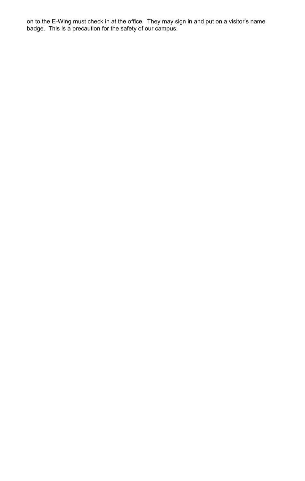on to the E-Wing must check in at the office. They may sign in and put on a visitor's name badge. This is a precaution for the safety of our campus.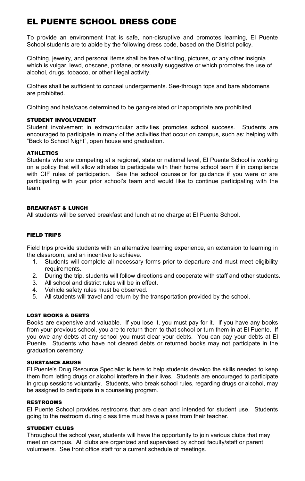# EL PUENTE SCHOOL DRESS CODE

To provide an environment that is safe, non-disruptive and promotes learning, El Puente School students are to abide by the following dress code, based on the District policy.

Clothing, jewelry, and personal items shall be free of writing, pictures, or any other insignia which is vulgar, lewd, obscene, profane, or sexually suggestive or which promotes the use of alcohol, drugs, tobacco, or other illegal activity.

Clothes shall be sufficient to conceal undergarments. See-through tops and bare abdomens are prohibited.

Clothing and hats/caps determined to be gang-related or inappropriate are prohibited.

## STUDENT INVOLVEMENT

Student involvement in extracurricular activities promotes school success. Students are encouraged to participate in many of the activities that occur on campus, such as: helping with "Back to School Night", open house and graduation.

# ATHLETICS

Students who are competing at a regional, state or national level, El Puente School is working on a policy that will allow athletes to participate with their home school team if in compliance with CIF rules of participation. See the school counselor for guidance if you were or are participating with your prior school's team and would like to continue participating with the team.

# BREAKFAST & LUNCH

All students will be served breakfast and lunch at no charge at El Puente School.

# FIELD TRIPS

Field trips provide students with an alternative learning experience, an extension to learning in the classroom, and an incentive to achieve.

- 1. Students will complete all necessary forms prior to departure and must meet eligibility requirements.
- 2. During the trip, students will follow directions and cooperate with staff and other students.
- 3. All school and district rules will be in effect.
- 4. Vehicle safety rules must be observed.
- 5. All students will travel and return by the transportation provided by the school.

#### LOST BOOKS & DEBTS

Books are expensive and valuable. If you lose it, you must pay for it. If you have any books from your previous school, you are to return them to that school or turn them in at El Puente. If you owe any debts at any school you must clear your debts. You can pay your debts at El Puente. Students who have not cleared debts or returned books may not participate in the graduation ceremony.

#### SUBSTANCE ABUSE

El Puente's Drug Resource Specialist is here to help students develop the skills needed to keep them from letting drugs or alcohol interfere in their lives. Students are encouraged to participate in group sessions voluntarily. Students, who break school rules, regarding drugs or alcohol, may be assigned to participate in a counseling program.

#### RESTROOMS

El Puente School provides restrooms that are clean and intended for student use. Students going to the restroom during class time must have a pass from their teacher.

#### STUDENT CLUBS

Throughout the school year, students will have the opportunity to join various clubs that may meet on campus. All clubs are organized and supervised by school faculty/staff or parent volunteers. See front office staff for a current schedule of meetings.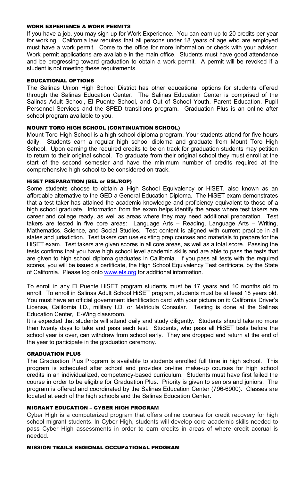#### WORK EXPERIENCE & WORK PERMITS

If you have a job, you may sign up for Work Experience. You can earn up to 20 credits per year for working. California law requires that all persons under 18 years of age who are employed must have a work permit. Come to the office for more information or check with your advisor. Work permit applications are available in the main office. Students must have good attendance and be progressing toward graduation to obtain a work permit. A permit will be revoked if a student is not meeting these requirements.

#### EDUCATIONAL OPTIONS

The Salinas Union High School District has other educational options for students offered through the Salinas Education Center. The Salinas Education Center is comprised of the Salinas Adult School, El Puente School, and Out of School Youth, Parent Education, Pupil Personnel Services and the SPED transitions program. Graduation Plus is an online after school program available to you.

#### MOUNT TORO HIGH SCHOOL (CONTINUATION SCHOOL)

Mount Toro High School is a high school diploma program. Your students attend for five hours daily. Students earn a regular high school diploma and graduate from Mount Toro High School. Upon earning the required credits to be on track for graduation students may petition to return to their original school. To graduate from their original school they must enroll at the start of the second semester and have the minimum number of credits required at the comprehensive high school to be considered on track.

#### HiSET PREPARATION (BEL or BSL/ROP)

Some students choose to obtain a High School Equivalency or HiSET, also known as an affordable alternative to the GED a General Education Diploma. The HiSET exam demonstrates that a test taker has attained the academic knowledge and proficiency equivalent to those of a high school graduate. Information from the exam helps identify the areas where test takers are career and college ready, as well as areas where they may need additional preparation. Test takers are tested in five core areas: Language Arts – Reading, Language Arts – Writing, Mathematics, Science, and Social Studies. Test content is aligned with current practice in all states and jurisdiction. Test takers can use existing prep courses and materials to prepare for the HiSET exam. Test takers are given scores in all core areas, as well as a total score. Passing the tests confirms that you have high school level academic skills and are able to pass the tests that are given to high school diploma graduates in California. If you pass all tests with the required scores, you will be issued a certificate, the High School Equivalency Test certificate, by the State of California. Please log onto [www.ets.org](http://www.ets.org/) for additional information.

To enroll in any El Puente HiSET program students must be 17 years and 10 months old to enroll. To enroll in Salinas Adult School HiSET program, students must be at least 18 years old. You must have an official government identification card with your picture on it: California Driver's License, California I.D., military I.D. or Matricula Consular. Testing is done at the Salinas Education Center, E-Wing classroom.

It is expected that students will attend daily and study diligently. Students should take no more than twenty days to take and pass each test. Students, who pass all HiSET tests before the school year is over, can withdraw from school early. They are dropped and return at the end of the year to participate in the graduation ceremony.

#### GRADUATION PLUS

The Graduation Plus Program is available to students enrolled full time in high school. This program is scheduled after school and provides on-line make-up courses for high school credits in an individualized, competency-based curriculum. Students must have first failed the course in order to be eligible for Graduation Plus. Priority is given to seniors and juniors. The program is offered and coordinated by the Salinas Education Center (796-6900). Classes are located at each of the high schools and the Salinas Education Center.

#### MIGRANT EDUCATION – CYBER HIGH PROGRAM

Cyber High is a computerized program that offers online courses for credit recovery for high school migrant students. In Cyber High, students will develop core academic skills needed to pass Cyber High assessments in order to earn credits in areas of where credit accrual is needed.

#### MISSION TRAILS REGIONAL OCCUPATIONAL PROGRAM